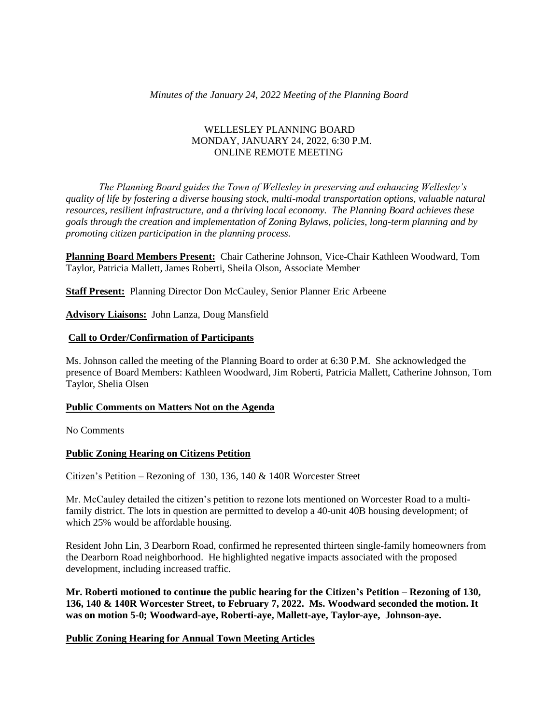# *Minutes of the January 24, 2022 Meeting of the Planning Board*

# WELLESLEY PLANNING BOARD MONDAY, JANUARY 24, 2022, 6:30 P.M. ONLINE REMOTE MEETING

*The Planning Board guides the Town of Wellesley in preserving and enhancing Wellesley's quality of life by fostering a diverse housing stock, multi-modal transportation options, valuable natural resources, resilient infrastructure, and a thriving local economy. The Planning Board achieves these goals through the creation and implementation of Zoning Bylaws, policies, long-term planning and by promoting citizen participation in the planning process.*

**Planning Board Members Present:** Chair Catherine Johnson, Vice-Chair Kathleen Woodward, Tom Taylor, Patricia Mallett, James Roberti, Sheila Olson, Associate Member

**Staff Present:** Planning Director Don McCauley, Senior Planner Eric Arbeene

**Advisory Liaisons:** John Lanza, Doug Mansfield

#### **Call to Order/Confirmation of Participants**

Ms. Johnson called the meeting of the Planning Board to order at 6:30 P.M. She acknowledged the presence of Board Members: Kathleen Woodward, Jim Roberti, Patricia Mallett, Catherine Johnson, Tom Taylor, Shelia Olsen

#### **Public Comments on Matters Not on the Agenda**

No Comments

# **Public Zoning Hearing on Citizens Petition**

Citizen's Petition – Rezoning of 130, 136, 140 & 140R Worcester Street

Mr. McCauley detailed the citizen's petition to rezone lots mentioned on Worcester Road to a multifamily district. The lots in question are permitted to develop a 40-unit 40B housing development; of which 25% would be affordable housing.

Resident John Lin, 3 Dearborn Road, confirmed he represented thirteen single-family homeowners from the Dearborn Road neighborhood. He highlighted negative impacts associated with the proposed development, including increased traffic.

**Mr. Roberti motioned to continue the public hearing for the Citizen's Petition – Rezoning of 130, 136, 140 & 140R Worcester Street, to February 7, 2022. Ms. Woodward seconded the motion. It was on motion 5-0; Woodward-aye, Roberti-aye, Mallett-aye, Taylor-aye, Johnson-aye.**

# **Public Zoning Hearing for Annual Town Meeting Articles**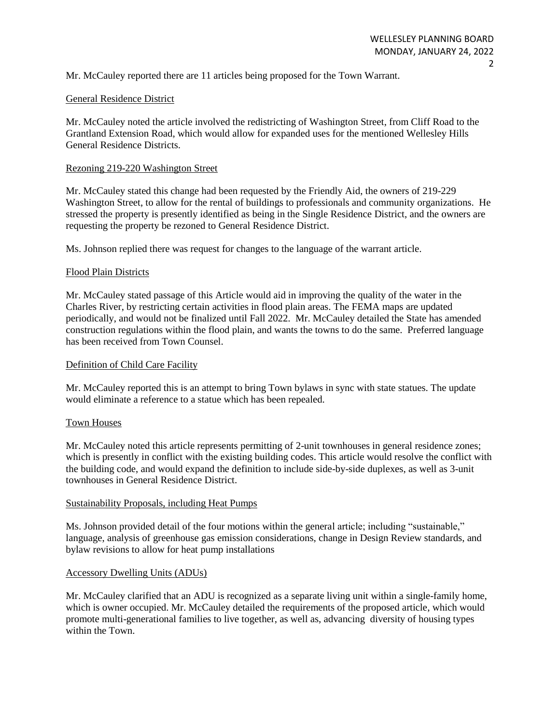Mr. McCauley reported there are 11 articles being proposed for the Town Warrant.

# General Residence District

Mr. McCauley noted the article involved the redistricting of Washington Street, from Cliff Road to the Grantland Extension Road, which would allow for expanded uses for the mentioned Wellesley Hills General Residence Districts.

# Rezoning 219-220 Washington Street

Mr. McCauley stated this change had been requested by the Friendly Aid, the owners of 219-229 Washington Street, to allow for the rental of buildings to professionals and community organizations. He stressed the property is presently identified as being in the Single Residence District, and the owners are requesting the property be rezoned to General Residence District.

Ms. Johnson replied there was request for changes to the language of the warrant article.

# Flood Plain Districts

Mr. McCauley stated passage of this Article would aid in improving the quality of the water in the Charles River, by restricting certain activities in flood plain areas. The FEMA maps are updated periodically, and would not be finalized until Fall 2022. Mr. McCauley detailed the State has amended construction regulations within the flood plain, and wants the towns to do the same. Preferred language has been received from Town Counsel.

### Definition of Child Care Facility

Mr. McCauley reported this is an attempt to bring Town bylaws in sync with state statues. The update would eliminate a reference to a statue which has been repealed.

# Town Houses

Mr. McCauley noted this article represents permitting of 2-unit townhouses in general residence zones; which is presently in conflict with the existing building codes. This article would resolve the conflict with the building code, and would expand the definition to include side-by-side duplexes, as well as 3-unit townhouses in General Residence District.

#### Sustainability Proposals, including Heat Pumps

Ms. Johnson provided detail of the four motions within the general article; including "sustainable," language, analysis of greenhouse gas emission considerations, change in Design Review standards, and bylaw revisions to allow for heat pump installations

#### Accessory Dwelling Units (ADUs)

Mr. McCauley clarified that an ADU is recognized as a separate living unit within a single-family home, which is owner occupied. Mr. McCauley detailed the requirements of the proposed article, which would promote multi-generational families to live together, as well as, advancing diversity of housing types within the Town.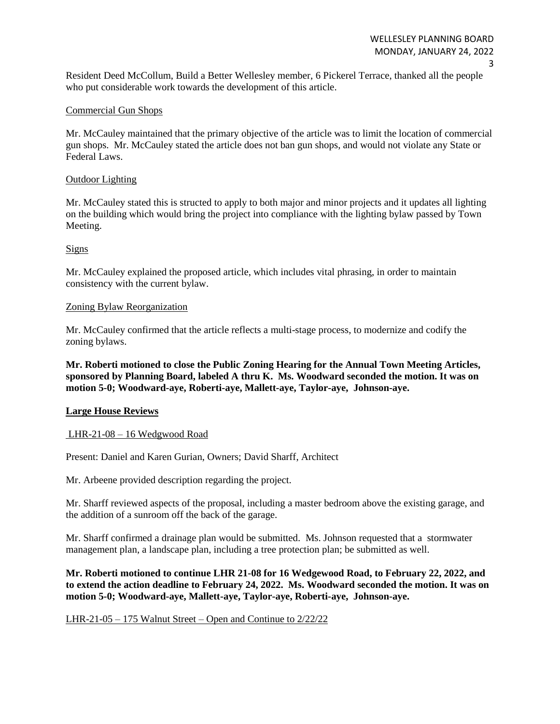Resident Deed McCollum, Build a Better Wellesley member, 6 Pickerel Terrace, thanked all the people who put considerable work towards the development of this article.

# Commercial Gun Shops

Mr. McCauley maintained that the primary objective of the article was to limit the location of commercial gun shops. Mr. McCauley stated the article does not ban gun shops, and would not violate any State or Federal Laws.

### Outdoor Lighting

Mr. McCauley stated this is structed to apply to both major and minor projects and it updates all lighting on the building which would bring the project into compliance with the lighting bylaw passed by Town Meeting.

# Signs

Mr. McCauley explained the proposed article, which includes vital phrasing, in order to maintain consistency with the current bylaw.

# Zoning Bylaw Reorganization

Mr. McCauley confirmed that the article reflects a multi-stage process, to modernize and codify the zoning bylaws.

**Mr. Roberti motioned to close the Public Zoning Hearing for the Annual Town Meeting Articles, sponsored by Planning Board, labeled A thru K. Ms. Woodward seconded the motion. It was on motion 5-0; Woodward-aye, Roberti-aye, Mallett-aye, Taylor-aye, Johnson-aye.** 

# **Large House Reviews**

#### LHR-21-08 – 16 Wedgwood Road

Present: Daniel and Karen Gurian, Owners; David Sharff, Architect

Mr. Arbeene provided description regarding the project.

Mr. Sharff reviewed aspects of the proposal, including a master bedroom above the existing garage, and the addition of a sunroom off the back of the garage.

Mr. Sharff confirmed a drainage plan would be submitted. Ms. Johnson requested that a stormwater management plan, a landscape plan, including a tree protection plan; be submitted as well.

**Mr. Roberti motioned to continue LHR 21-08 for 16 Wedgewood Road, to February 22, 2022, and to extend the action deadline to February 24, 2022. Ms. Woodward seconded the motion. It was on motion 5-0; Woodward-aye, Mallett-aye, Taylor-aye, Roberti-aye, Johnson-aye.** 

#### LHR-21-05 – 175 Walnut Street – Open and Continue to 2/22/22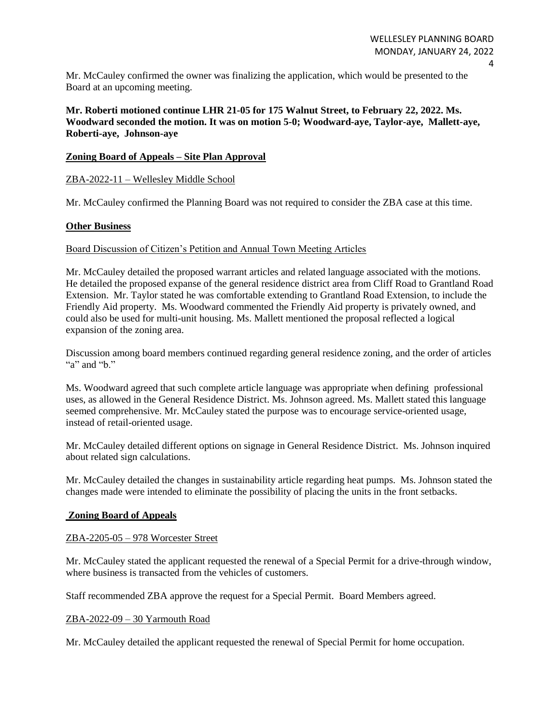Mr. McCauley confirmed the owner was finalizing the application, which would be presented to the Board at an upcoming meeting.

**Mr. Roberti motioned continue LHR 21-05 for 175 Walnut Street, to February 22, 2022. Ms. Woodward seconded the motion. It was on motion 5-0; Woodward-aye, Taylor-aye, Mallett-aye, Roberti-aye, Johnson-aye**

### **Zoning Board of Appeals – Site Plan Approval**

# ZBA-2022-11 – Wellesley Middle School

Mr. McCauley confirmed the Planning Board was not required to consider the ZBA case at this time.

# **Other Business**

#### Board Discussion of Citizen's Petition and Annual Town Meeting Articles

Mr. McCauley detailed the proposed warrant articles and related language associated with the motions. He detailed the proposed expanse of the general residence district area from Cliff Road to Grantland Road Extension. Mr. Taylor stated he was comfortable extending to Grantland Road Extension, to include the Friendly Aid property. Ms. Woodward commented the Friendly Aid property is privately owned, and could also be used for multi-unit housing. Ms. Mallett mentioned the proposal reflected a logical expansion of the zoning area.

Discussion among board members continued regarding general residence zoning, and the order of articles "a" and " $b$ ."

Ms. Woodward agreed that such complete article language was appropriate when defining professional uses, as allowed in the General Residence District. Ms. Johnson agreed. Ms. Mallett stated this language seemed comprehensive. Mr. McCauley stated the purpose was to encourage service-oriented usage, instead of retail-oriented usage.

Mr. McCauley detailed different options on signage in General Residence District. Ms. Johnson inquired about related sign calculations.

Mr. McCauley detailed the changes in sustainability article regarding heat pumps. Ms. Johnson stated the changes made were intended to eliminate the possibility of placing the units in the front setbacks.

# **Zoning Board of Appeals**

#### ZBA-2205-05 – 978 Worcester Street

Mr. McCauley stated the applicant requested the renewal of a Special Permit for a drive-through window, where business is transacted from the vehicles of customers.

Staff recommended ZBA approve the request for a Special Permit. Board Members agreed.

#### ZBA-2022-09 – 30 Yarmouth Road

Mr. McCauley detailed the applicant requested the renewal of Special Permit for home occupation.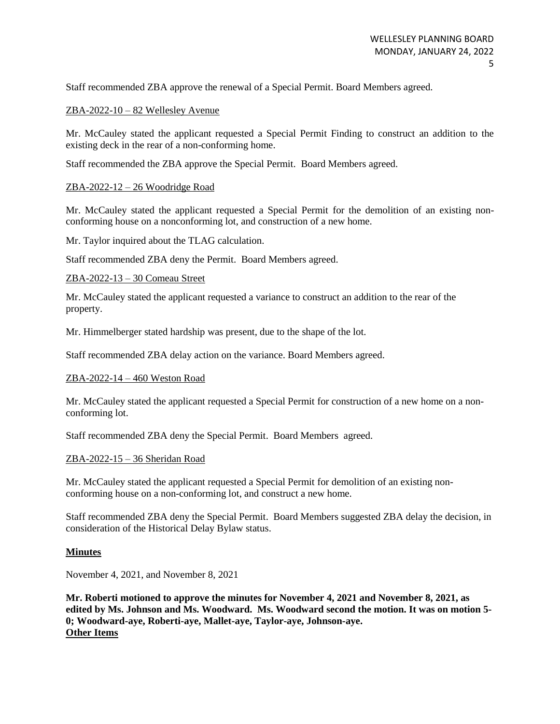Staff recommended ZBA approve the renewal of a Special Permit. Board Members agreed.

# ZBA-2022-10 – 82 Wellesley Avenue

Mr. McCauley stated the applicant requested a Special Permit Finding to construct an addition to the existing deck in the rear of a non-conforming home.

Staff recommended the ZBA approve the Special Permit. Board Members agreed.

# ZBA-2022-12 – 26 Woodridge Road

Mr. McCauley stated the applicant requested a Special Permit for the demolition of an existing nonconforming house on a nonconforming lot, and construction of a new home.

Mr. Taylor inquired about the TLAG calculation.

Staff recommended ZBA deny the Permit. Board Members agreed.

### ZBA-2022-13 – 30 Comeau Street

Mr. McCauley stated the applicant requested a variance to construct an addition to the rear of the property.

Mr. Himmelberger stated hardship was present, due to the shape of the lot.

Staff recommended ZBA delay action on the variance. Board Members agreed.

#### ZBA-2022-14 – 460 Weston Road

Mr. McCauley stated the applicant requested a Special Permit for construction of a new home on a nonconforming lot.

Staff recommended ZBA deny the Special Permit. Board Members agreed.

#### ZBA-2022-15 – 36 Sheridan Road

Mr. McCauley stated the applicant requested a Special Permit for demolition of an existing nonconforming house on a non-conforming lot, and construct a new home.

Staff recommended ZBA deny the Special Permit. Board Members suggested ZBA delay the decision, in consideration of the Historical Delay Bylaw status.

#### **Minutes**

November 4, 2021, and November 8, 2021

**Mr. Roberti motioned to approve the minutes for November 4, 2021 and November 8, 2021, as edited by Ms. Johnson and Ms. Woodward. Ms. Woodward second the motion. It was on motion 5- 0; Woodward-aye, Roberti-aye, Mallet-aye, Taylor-aye, Johnson-aye. Other Items**